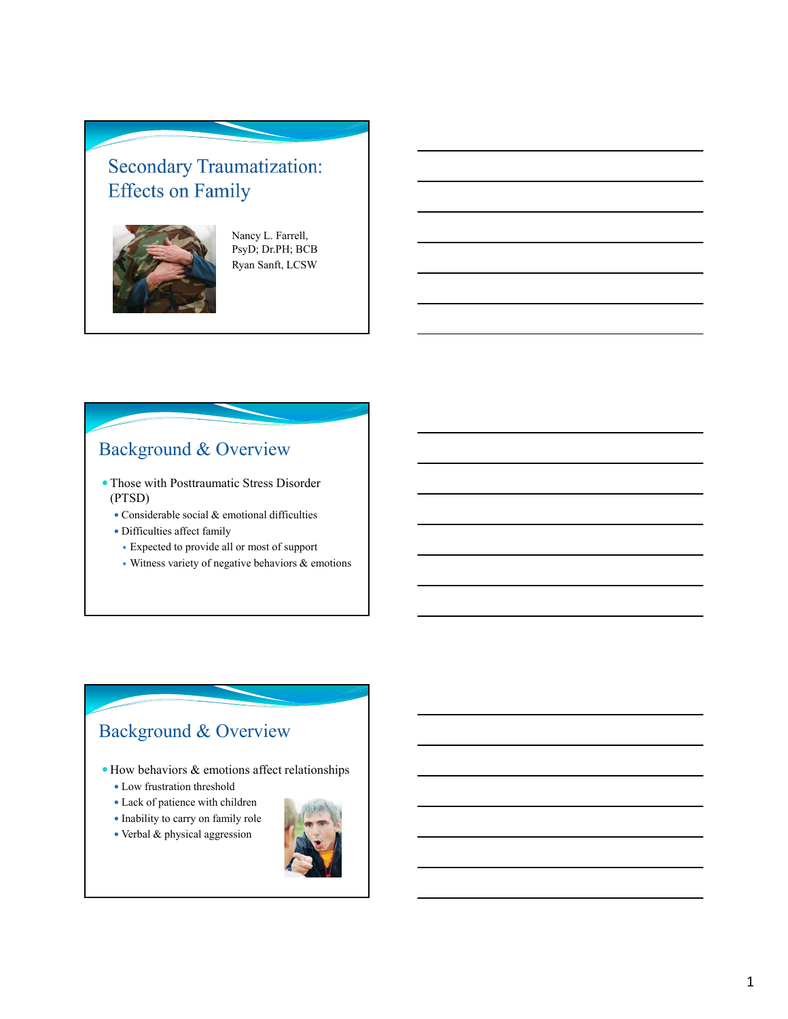# **Secondary Traumatization: Effects on Family**



Nancy L. Farrell, PsyD; Dr.PH; BCB Ryan Sanft, LCSW

# Background & Overview

- Those with Posttraumatic Stress Disorder (PTSD)
	- Considerable social & emotional difficulties
	- Difficulties affect family
	- Expected to provide all or most of support
	- Witness variety of negative behaviors & emotions

## Background & Overview

- How behaviors & emotions affect relationships
	- Low frustration threshold
	- Lack of patience with children
	- Inability to carry on family role
	- Verbal & physical aggression

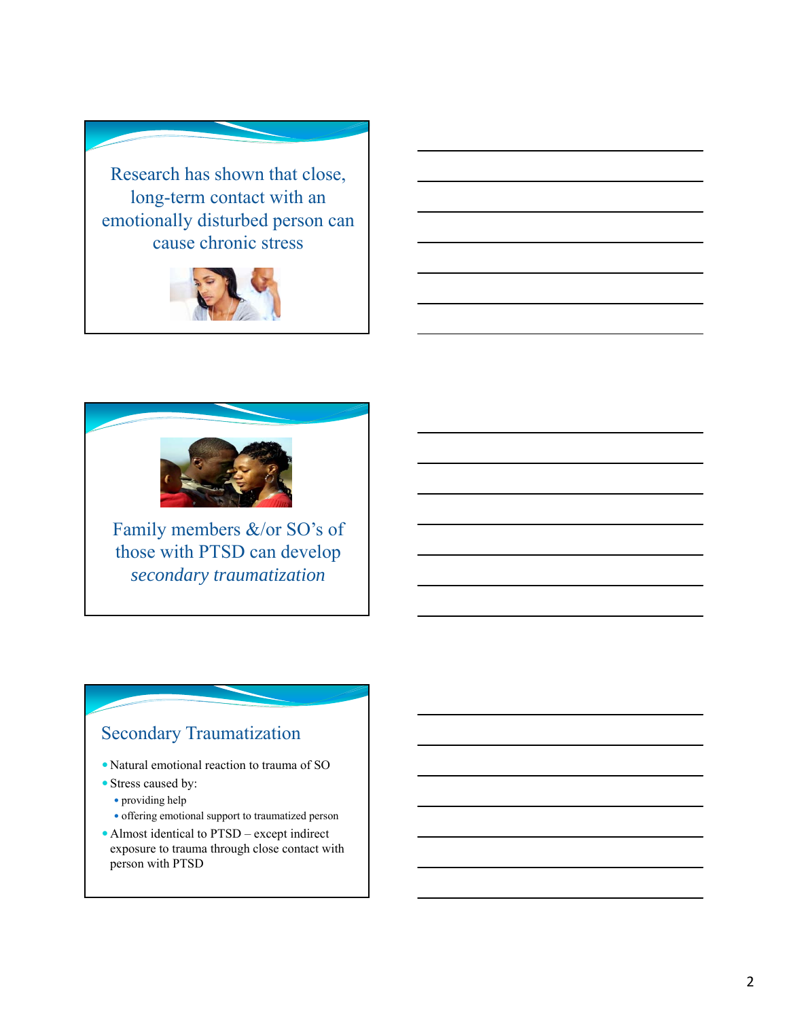Research has shown that close, long-term contact with an emotionally disturbed person can cause chronic stress





Family members &/or SO's of those with PTSD can develop *secondary traumatization*

## Secondary Traumatization

- Natural emotional reaction to trauma of SO
- Stress caused by:
	- providing help
	- offering emotional support to traumatized person
- Almost identical to PTSD except indirect exposure to trauma through close contact with person with PTSD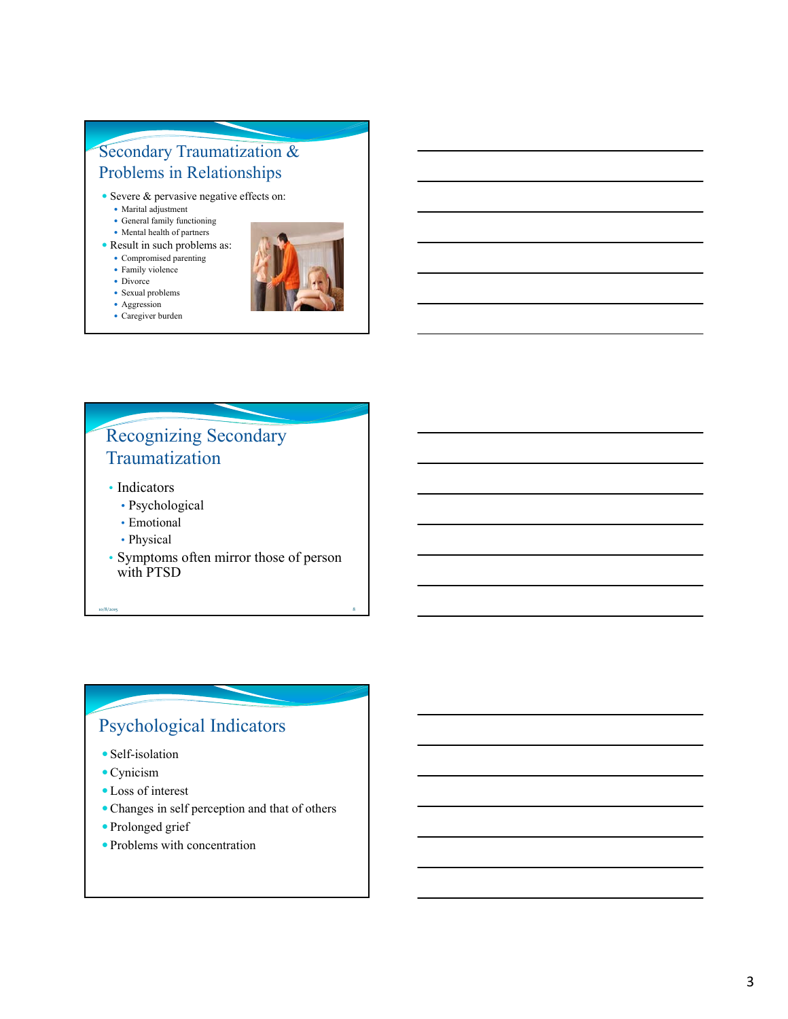#### Secondary Traumatization & Problems in Relationships

- Severe & pervasive negative effects on:
	- Marital adjustment
	- General family functioning
	- Mental health of partners
- Result in such problems as:
	- Compromised parenting
	- Family violence
	- Divorce
	- Sexual problems
		-
	- Aggression Caregiver burden



#### Recognizing Secondary Traumatization

- Indicators
	- Psychological
	- Emotional
	- Physical
- Symptoms often mirror those of person with PTSD

10/8/2015 8

# Psychological Indicators

- Self-isolation
- Cynicism
- Loss of interest
- Changes in self perception and that of others
- Prolonged grief
- Problems with concentration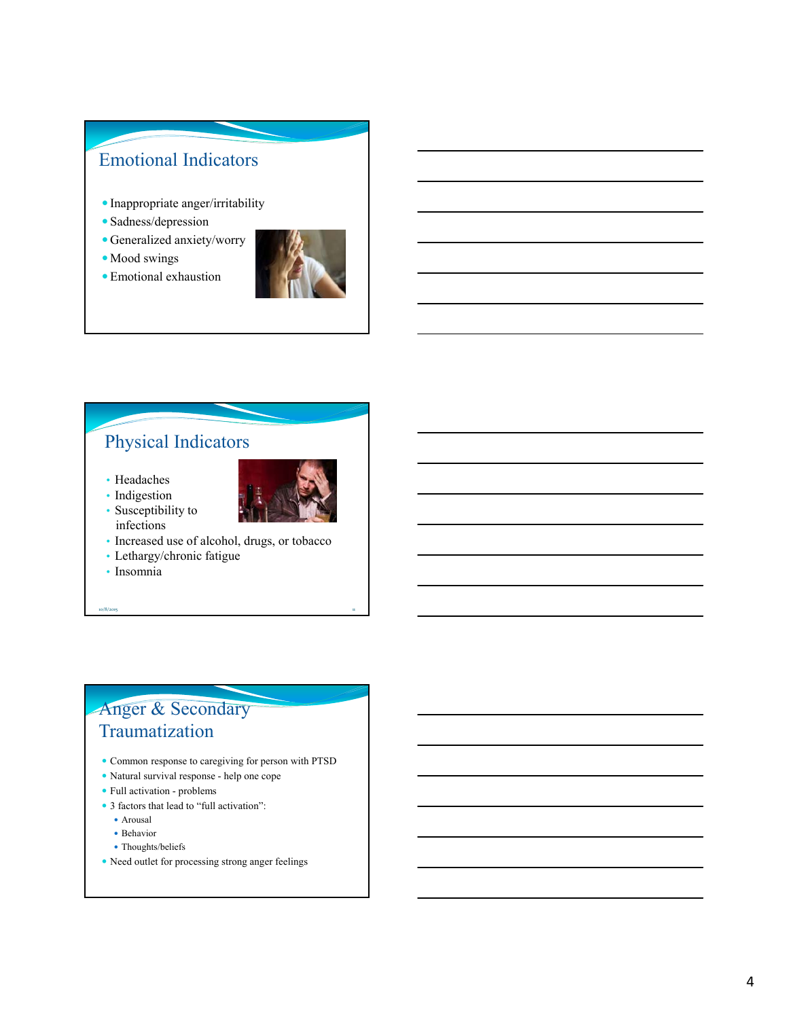## Emotional Indicators

- Inappropriate anger/irritability
- Sadness/depression
- Generalized anxiety/worry
- Mood swings
- Emotional exhaustion



## Physical Indicators

• Headaches • Indigestion

• Susceptibility to infections



• Increased use of alcohol, drugs, or tobacco

10/8/2015 **11** 

- Lethargy/chronic fatigue
- Insomnia

#### Anger & Secondary Traumatization

- Common response to caregiving for person with PTSD
- Natural survival response help one cope
- Full activation problems
- 3 factors that lead to "full activation":
	- Arousal
	- Behavior
	- Thoughts/beliefs
- Need outlet for processing strong anger feelings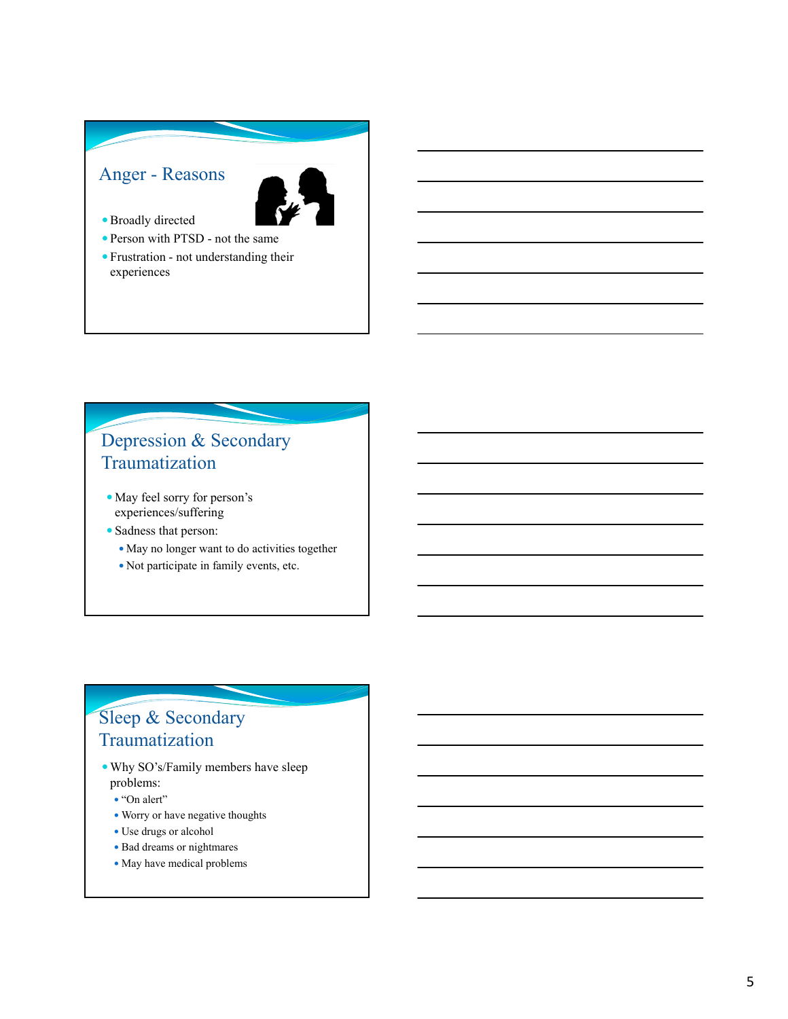#### Anger - Reasons



- Broadly directed
- Person with PTSD not the same
- Frustration not understanding their experiences

#### Depression & Secondary Traumatization

- May feel sorry for person's experiences/suffering
- Sadness that person:
	- May no longer want to do activities together
	- Not participate in family events, etc.

## Sleep & Secondary Traumatization

- Why SO's/Family members have sleep problems:
	- "On alert"
	- Worry or have negative thoughts
	- Use drugs or alcohol
	- Bad dreams or nightmares
	- May have medical problems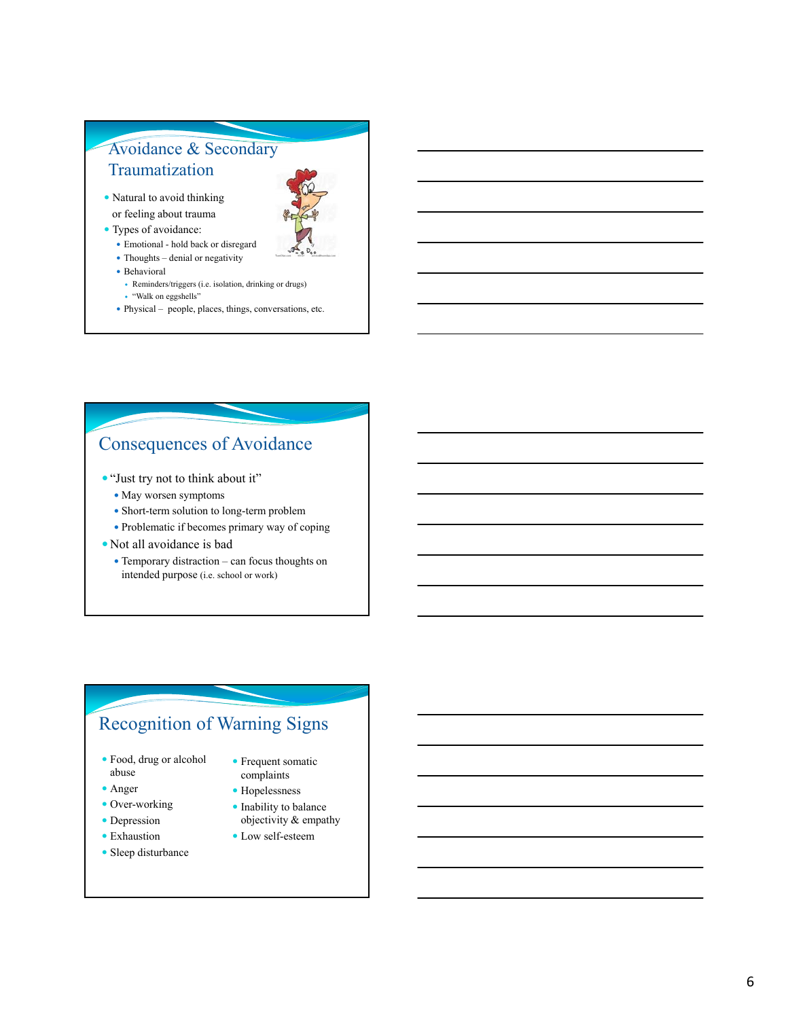#### Avoidance & Secondary Traumatization

- 
- Natural to avoid thinking or feeling about trauma
- Types of avoidance:
	- Emotional hold back or disregard
	- Thoughts denial or negativity
	- Behavioral
	- Reminders/triggers (i.e. isolation, drinking or drugs) "Walk on eggshells"
	- Physical people, places, things, conversations, etc.

#### Consequences of Avoidance

- "Just try not to think about it"
	- May worsen symptoms
	- Short-term solution to long-term problem
	- Problematic if becomes primary way of coping
- Not all avoidance is bad
	- Temporary distraction can focus thoughts on intended purpose (i.e. school or work)

# Recognition of Warning Signs

- Food, drug or alcohol abuse
- Anger
- Over-working
- Depression
- Exhaustion
- Sleep disturbance
- **•** Frequent somatic complaints
- Hopelessness
- Inability to balance objectivity & empathy
- Low self-esteem
- 
-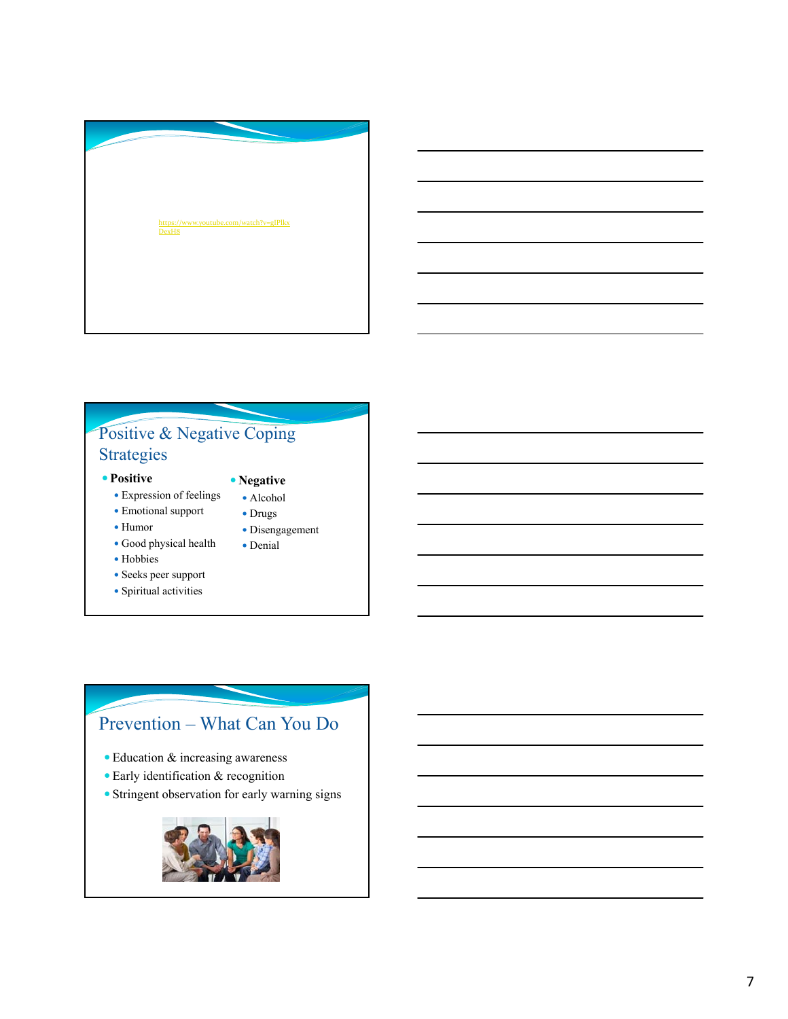

#### Positive & Negative Coping Strategies

#### **Positive**

- Expression of feelings
- Emotional support • Drugs

 **Negative** Alcohol

> Disengagement Denial

- Humor
- Good physical health
- Hobbies
- Seeks peer support
- Spiritual activities

# Prevention – What Can You Do

- Education & increasing awareness
- Early identification & recognition
- Stringent observation for early warning signs